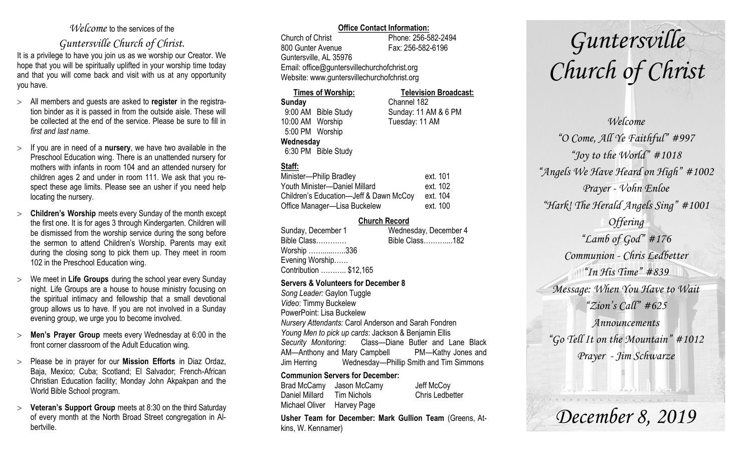#### *Welcome* to the services of the

### *Guntersville Church of Christ*.

It is a privilege to have you join us as we worship our Creator. We hope that you will be spiritually uplifted in your worship time today and that you will come back and visit with us at any opportunity you have.

- All members and guests are asked to **register** in the registration binder as it is passed in from the outside aisle. These will be collected at the end of the service. Please be sure to fill in *first and last name*.
- $\geq$  If you are in need of a **nursery**, we have two available in the Preschool Education wing. There is an unattended nursery for mothers with infants in room 104 and an attended nursery for children ages 2 and under in room 111. We ask that you respect these age limits. Please see an usher if you need help locating the nursery.
- **Children's Worship** meets every Sunday of the month except the first one. It is for ages 3 through Kindergarten. Children will be dismissed from the worship service during the song before the sermon to attend Children's Worship. Parents may exit during the closing song to pick them up. They meet in room 102 in the Preschool Education wing.
- We meet in **Life Groups** during the school year every Sunday night. Life Groups are a house to house ministry focusing on the spiritual intimacy and fellowship that a small devotional group allows us to have. If you are not involved in a Sunday evening group, we urge you to become involved.
- **Men's Prayer Group** meets every Wednesday at 6:00 in the front corner classroom of the Adult Education wing.
- Please be in prayer for our **Mission Efforts** in Diaz Ordaz, Baja, Mexico; Cuba; Scotland; El Salvador; French-African Christian Education facility; Monday John Akpakpan and the World Bible School program.
- **Veteran's Support Group** meets at 8:30 on the third Saturday of every month at the North Broad Street congregation in Albertville.

#### **Office Contact Information:**

Church of Christ Phone: 256-582-2494 800 Gunter Avenue Fax: 256-582-6196 Guntersville, AL 35976 Email: office@guntersvillechurchofchrist.org Website: www.guntersvillechurchofchrist.org

#### **Times of Worship: Television Broadcast:**

**Sunday** Channel 182 9:00 AM Bible Study Sunday: 11 AM & 6 PM 10:00 AM Worship Tuesday: 11 AM 5:00 PM Worship **Wednesday** 6:30 PM Bible Study

#### **Staff:**

| Minister-Philip Bradley                | ext. 101 |
|----------------------------------------|----------|
| Youth Minister-Daniel Millard          | ext. 102 |
| Children's Education-Jeff & Dawn McCoy | ext. 104 |
| Office Manager-Lisa Buckelew           | ext. 100 |

#### **Church Record**

| Sunday, December 1     | Wednesday, December 4 |
|------------------------|-----------------------|
| Bible Class            | Bible Class182        |
| Worship 336            |                       |
| Evening Worship        |                       |
| Contribution  \$12,165 |                       |
|                        |                       |

#### **Servers & Volunteers for December 8**

*Song Leader:* Gaylon Tuggle *Video*: Timmy Buckelew PowerPoint: Lisa Buckelew *Nursery Attendants:* Carol Anderson and Sarah Fondren *Young Men to pick up cards*: Jackson & Benjamin Ellis *Security Monitoring*: Class—Diane Butler and Lane Black AM—Anthony and Mary Campbell PM—Kathy Jones and Jim Herring Wednesday—Phillip Smith and Tim Simmons

#### **Communion Servers for December:**

Brad McCamy Jason McCamy Jeff McCoy Daniel Millard Tim Nichols Chris Ledbetter Michael Oliver Harvey Page

**Usher Team for December: Mark Gullion Team** (Greens, Atkins, W. Kennamer)

# *Guntersville Church of Christ*

*Welcome "O Come, All Ye Faithful" #997 "Joy to the World" #1018 "Angels We Have Heard on High" #1002 Prayer - Vohn Enloe "Hark! The Herald Angels Sing" #1001 Offering "Lamb of God" #176 Communion - Chris Ledbetter "In His Time" #839 Message: When You Have to Wait "Zion's Call" #625 Announcements "Go Tell It on the Mountain" #1012 Prayer - Jim Schwarze*

*December 8, 2019*